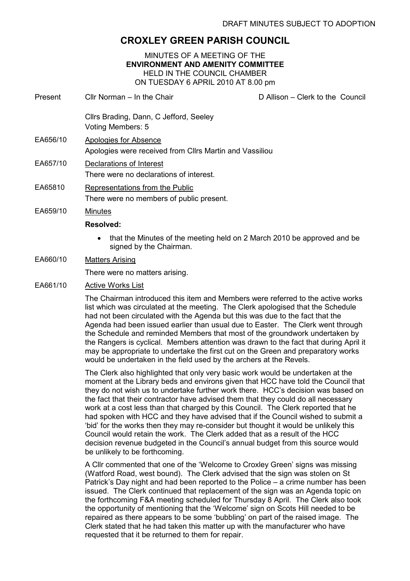# CROXLEY GREEN PARISH COUNCIL

MINUTES OF A MEETING OF THE ENVIRONMENT AND AMENITY COMMITTEE HELD IN THE COUNCIL CHAMBER ON TUESDAY 6 APRIL 2010 AT 8.00 pm

Present Cllr Norman – In the Chair D Allison – Clerk to the Council Cllrs Brading, Dann, C Jefford, Seeley Voting Members: 5 EA656/10 Apologies for Absence Apologies were received from Cllrs Martin and Vassiliou EA657/10 Declarations of Interest There were no declarations of interest. EA65810 Representations from the Public There were no members of public present. EA659/10 Minutes Resolved: • that the Minutes of the meeting held on 2 March 2010 be approved and be signed by the Chairman. EA660/10 Matters Arising

There were no matters arising.

# EA661/10 Active Works List

The Chairman introduced this item and Members were referred to the active works list which was circulated at the meeting. The Clerk apologised that the Schedule had not been circulated with the Agenda but this was due to the fact that the Agenda had been issued earlier than usual due to Easter. The Clerk went through the Schedule and reminded Members that most of the groundwork undertaken by the Rangers is cyclical. Members attention was drawn to the fact that during April it may be appropriate to undertake the first cut on the Green and preparatory works would be undertaken in the field used by the archers at the Revels.

The Clerk also highlighted that only very basic work would be undertaken at the moment at the Library beds and environs given that HCC have told the Council that they do not wish us to undertake further work there. HCC's decision was based on the fact that their contractor have advised them that they could do all necessary work at a cost less than that charged by this Council. The Clerk reported that he had spoken with HCC and they have advised that if the Council wished to submit a 'bid' for the works then they may re-consider but thought it would be unlikely this Council would retain the work. The Clerk added that as a result of the HCC decision revenue budgeted in the Council's annual budget from this source would be unlikely to be forthcoming.

A Cllr commented that one of the 'Welcome to Croxley Green' signs was missing (Watford Road, west bound). The Clerk advised that the sign was stolen on St Patrick's Day night and had been reported to the Police – a crime number has been issued. The Clerk continued that replacement of the sign was an Agenda topic on the forthcoming F&A meeting scheduled for Thursday 8 April. The Clerk also took the opportunity of mentioning that the 'Welcome' sign on Scots Hill needed to be repaired as there appears to be some 'bubbling' on part of the raised image. The Clerk stated that he had taken this matter up with the manufacturer who have requested that it be returned to them for repair.